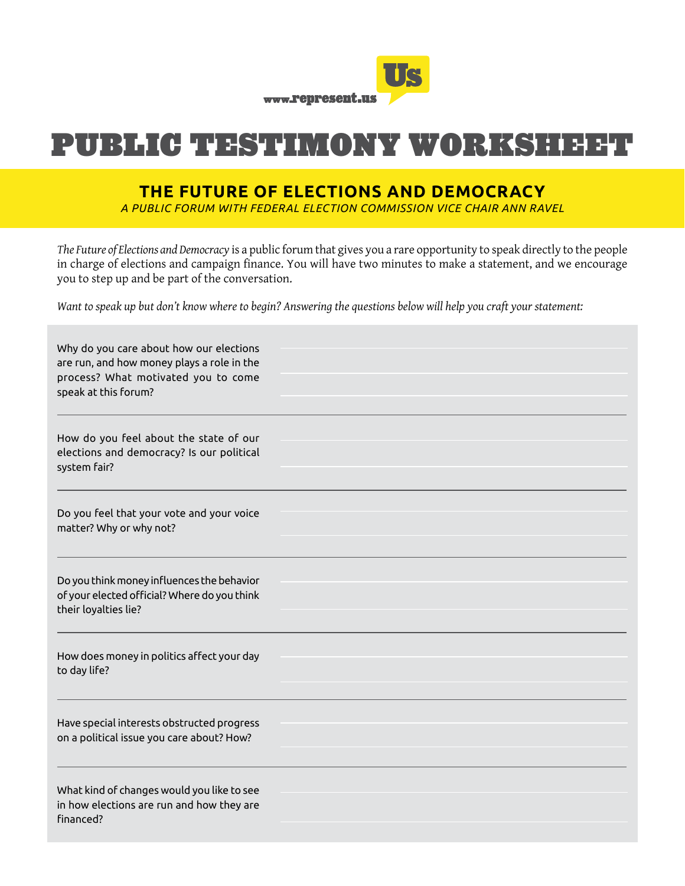

# PUBLIC TESTIMONY WORKSHEET

## **THE FUTURE OF ELECTIONS AND DEMOCRACY**

*A PUBLIC FORUM WITH FEDERAL ELECTION COMMISSION VICE CHAIR ANN RAVEL* 

*The Future of Elections and Democracy* is a public forum that gives you a rare opportunity to speak directly to the people in charge of elections and campaign finance. You will have two minutes to make a statement, and we encourage you to step up and be part of the conversation.

*Want to speak up but don't know where to begin? Answering the questions below will help you craft your statement:*

| Why do you care about how our elections<br>are run, and how money plays a role in the<br>process? What motivated you to come<br>speak at this forum? |  |
|------------------------------------------------------------------------------------------------------------------------------------------------------|--|
| How do you feel about the state of our<br>elections and democracy? Is our political<br>system fair?                                                  |  |
| Do you feel that your vote and your voice<br>matter? Why or why not?                                                                                 |  |
| Do you think money influences the behavior<br>of your elected official? Where do you think<br>their loyalties lie?                                   |  |
| How does money in politics affect your day<br>to day life?                                                                                           |  |
| Have special interests obstructed progress<br>on a political issue you care about? How?                                                              |  |
| What kind of changes would you like to see<br>in how elections are run and how they are<br>financed?                                                 |  |